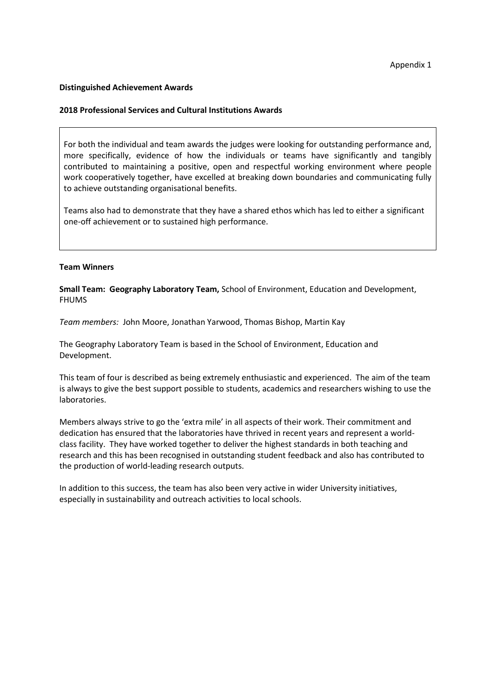#### **Distinguished Achievement Awards**

#### **2018 Professional Services and Cultural Institutions Awards**

For both the individual and team awards the judges were looking for outstanding performance and, more specifically, evidence of how the individuals or teams have significantly and tangibly contributed to maintaining a positive, open and respectful working environment where people work cooperatively together, have excelled at breaking down boundaries and communicating fully to achieve outstanding organisational benefits.

Teams also had to demonstrate that they have a shared ethos which has led to either a significant one-off achievement or to sustained high performance.

### **Team Winners**

**Small Team: Geography Laboratory Team,** School of Environment, Education and Development, FHUMS

*Team members:* John Moore, Jonathan Yarwood, Thomas Bishop, Martin Kay

The Geography Laboratory Team is based in the School of Environment, Education and Development.

This team of four is described as being extremely enthusiastic and experienced. The aim of the team is always to give the best support possible to students, academics and researchers wishing to use the laboratories.

Members always strive to go the 'extra mile' in all aspects of their work. Their commitment and dedication has ensured that the laboratories have thrived in recent years and represent a worldclass facility. They have worked together to deliver the highest standards in both teaching and research and this has been recognised in outstanding student feedback and also has contributed to the production of world-leading research outputs.

In addition to this success, the team has also been very active in wider University initiatives, especially in sustainability and outreach activities to local schools.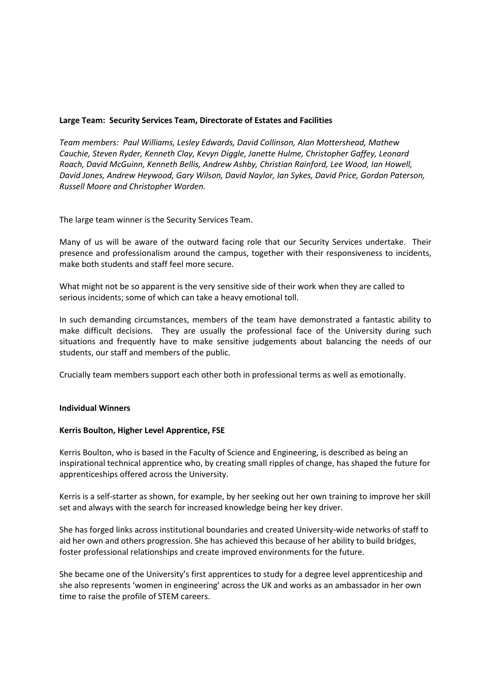### **Large Team: Security Services Team, Directorate of Estates and Facilities**

*Team members: Paul Williams, Lesley Edwards, David Collinson, Alan Mottershead, Mathew Cauchie, Steven Ryder, Kenneth Clay, Kevyn Diggle, Janette Hulme, Christopher Gaffey, Leonard Roach, David McGuinn, Kenneth Bellis, Andrew Ashby, Christian Rainford, Lee Wood, Ian Howell, David Jones, Andrew Heywood, Gary Wilson, David Naylor, Ian Sykes, David Price, Gordon Paterson, Russell Moore and Christopher Worden.*

The large team winner is the Security Services Team.

Many of us will be aware of the outward facing role that our Security Services undertake. Their presence and professionalism around the campus, together with their responsiveness to incidents, make both students and staff feel more secure.

What might not be so apparent is the very sensitive side of their work when they are called to serious incidents; some of which can take a heavy emotional toll.

In such demanding circumstances, members of the team have demonstrated a fantastic ability to make difficult decisions. They are usually the professional face of the University during such situations and frequently have to make sensitive judgements about balancing the needs of our students, our staff and members of the public.

Crucially team members support each other both in professional terms as well as emotionally.

### **Individual Winners**

### **Kerris Boulton, Higher Level Apprentice, FSE**

Kerris Boulton, who is based in the Faculty of Science and Engineering, is described as being an inspirational technical apprentice who, by creating small ripples of change, has shaped the future for apprenticeships offered across the University.

Kerris is a self-starter as shown, for example, by her seeking out her own training to improve her skill set and always with the search for increased knowledge being her key driver.

She has forged links across institutional boundaries and created University-wide networks of staff to aid her own and others progression. She has achieved this because of her ability to build bridges, foster professional relationships and create improved environments for the future.

She became one of the University's first apprentices to study for a degree level apprenticeship and she also represents 'women in engineering' across the UK and works as an ambassador in her own time to raise the profile of STEM careers.